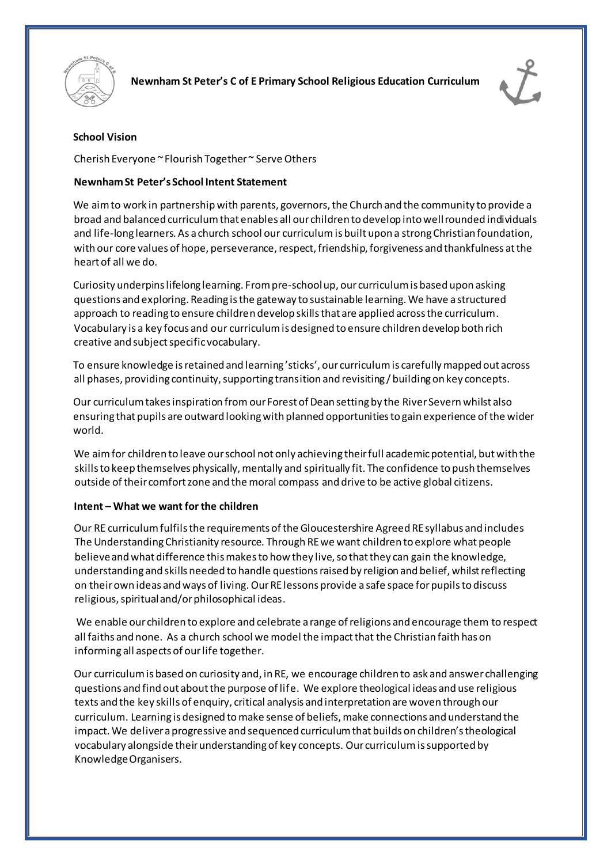



# **School Vision**

Cherish Everyone ~ Flourish Together ~ Serve Others

## **Newnham St Peter's School Intent Statement**

We aim to work in partnership with parents, governors, the Church and the community to provide a broad and balanced curriculum that enables all our children to develop into well rounded individuals and life-long learners. As a church school our curriculum is built upon a strong Christian foundation, with our core values of hope, perseverance, respect, friendship, forgiveness and thankfulness at the heart of all we do.

Curiosity underpins lifelong learning. From pre-school up, our curriculum is based upon asking questions and exploring. Reading is the gateway to sustainable learning. We have a structured approach to reading to ensure children develop skills that are applied across the curriculum. Vocabulary is a key focus and our curriculum is designed to ensure children develop both rich creative and subject specific vocabulary.

To ensure knowledge is retained and learning 'sticks', our curriculum is carefully mapped out across all phases, providing continuity, supporting transition and revisiting / building on key concepts.

Our curriculum takes inspiration from our Forest of Dean setting by the River Severn whilst also ensuring that pupils are outward looking with planned opportunities to gain experience of the wider world.

We aim for children to leave our school not only achieving their full academic potential, but with the skills to keep themselves physically, mentally and spiritually fit. The confidence to push themselves outside of their comfort zone and the moral compass and drive to be active global citizens.

### **Intent – What we want for the children**

Our RE curriculum fulfils the requirements of the Gloucestershire Agreed RE syllabus and includes The Understanding Christianity resource. Through REwe want children to explore what people believe and what difference this makes to how they live, so that they can gain the knowledge, understanding and skills needed to handle questions raised by religion and belief, whilst reflecting on their own ideas and ways of living. Our RE lessons provide a safe space for pupils to discuss religious, spiritual and/or philosophical ideas.

We enable our children to explore and celebrate a range of religions and encourage them to respect all faiths and none. As a church school we model the impact that the Christian faith has on informing all aspects of our life together.

Our curriculum is based on curiosity and, in RE, we encourage children to ask and answer challenging questions and find out about the purpose of life. We explore theological ideas and use religious texts and the key skills of enquiry, critical analysis and interpretation are woven through our curriculum. Learning is designed to make sense of beliefs, make connections and understand the impact. We deliver a progressive and sequenced curriculum that builds on children's theological vocabulary alongside their understanding of key concepts. Our curriculum is supported by Knowledge Organisers.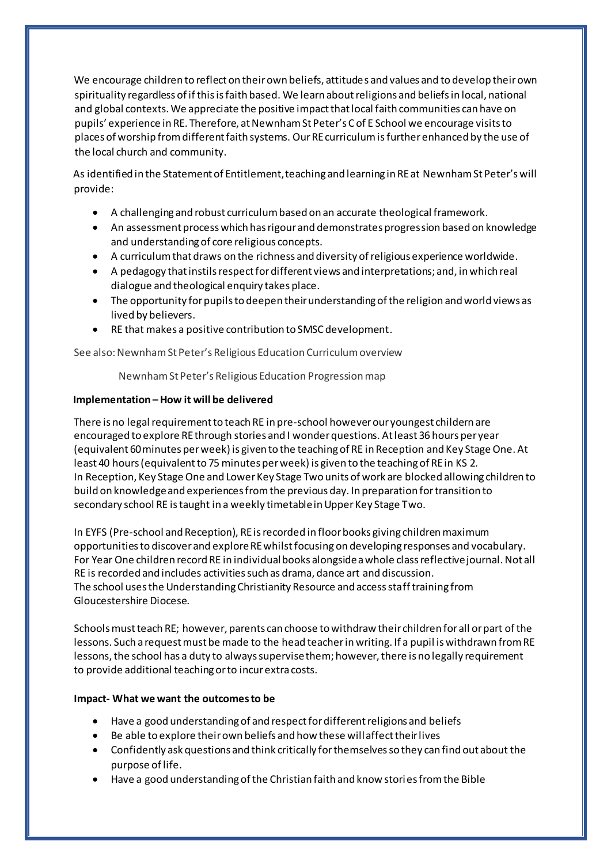We encourage children to reflect on their own beliefs, attitudes and values and to develop their own spirituality regardless of if this is faith based. We learn about religions and beliefs in local, national and global contexts. We appreciate the positive impact that local faith communities can have on pupils' experience in RE. Therefore, at Newnham St Peter's C of E School we encourage visits to places of worship from different faith systems. Our RE curriculum is further enhanced by the use of the local church and community.

As identified in the Statement of Entitlement, teaching and learning in RE at Newnham St Peter's will provide:

- A challenging and robust curriculum based on an accurate theological framework.
- An assessment process which has rigour and demonstrates progression based on knowledge and understanding of core religious concepts.
- A curriculum that draws on the richness and diversity of religious experience worldwide.
- A pedagogy that instils respect for different views and interpretations; and, in which real dialogue and theological enquiry takes place.
- The opportunity for pupils to deepen their understanding of the religion and world views as lived by believers.
- RE that makes a positive contribution to SMSC development.

See also: Newnham St Peter's Religious Education Curriculum overview

Newnham St Peter's Religious Education Progression map

#### **Implementation – How it will be delivered**

There is no legal requirement to teach RE in pre-school however our youngest childern are encouraged to explore RE through stories and I wonder questions. Atleast 36 hours per year (equivalent 60 minutes per week) is given to the teaching of RE in Reception and Key Stage One. At least 40 hours (equivalent to 75 minutes per week) is given to the teaching of RE in KS 2. In Reception, Key Stage One and Lower Key Stage Two units of work are blocked allowing children to build on knowledge and experiences from the previous day. In preparation for transition to secondary school RE is taught in a weekly timetable in Upper Key Stage Two.

In EYFS (Pre-school and Reception), RE isrecorded in floor books giving children maximum opportunities to discover and exploreREwhilstfocusing on developing responses and vocabulary. For Year One children record RE in individual books alongside a whole class reflective journal. Not all RE is recorded and includes activities such as drama, dance art and discussion. The school uses the Understanding Christianity Resource and access staff training from Gloucestershire Diocese.

Schools must teach RE; however, parents can choose to withdraw their children for all or part of the lessons. Such a request must be made to the head teacherin writing. If a pupil is withdrawn from RE lessons, the school has a duty to always supervise them; however, there is no legally requirement to provide additional teaching or to incur extra costs.

#### **Impact- What we want the outcomes to be**

- Have a good understanding of and respect for different religions and beliefs
- Be able to explore their own beliefs and how these will affect their lives
- Confidently ask questions and think critically for themselves so they can find out about the purpose of life.
- Have a good understanding of the Christian faith and know stories from the Bible